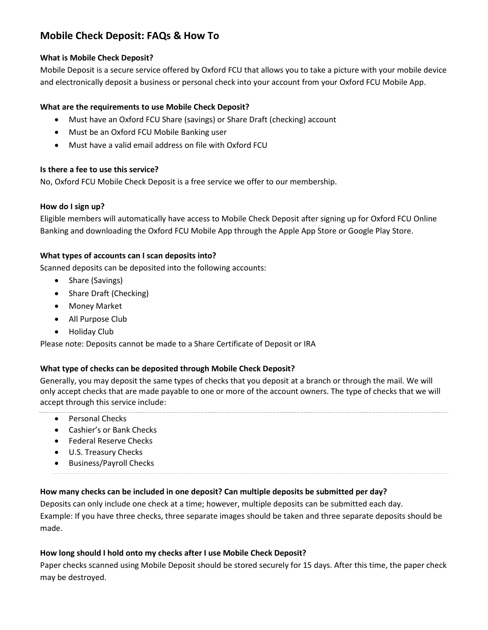# **Mobile Check Deposit: FAQs & How To**

#### **What is Mobile Check Deposit?**

Mobile Deposit is a secure service offered by Oxford FCU that allows you to take a picture with your mobile device and electronically deposit a business or personal check into your account from your Oxford FCU Mobile App.

## **What are the requirements to use Mobile Check Deposit?**

- Must have an Oxford FCU Share (savings) or Share Draft (checking) account
- Must be an Oxford FCU Mobile Banking user
- Must have a valid email address on file with Oxford FCU

#### **Is there a fee to use this service?**

No, Oxford FCU Mobile Check Deposit is a free service we offer to our membership.

#### **How do I sign up?**

Eligible members will automatically have access to Mobile Check Deposit after signing up for Oxford FCU Online Banking and downloading the Oxford FCU Mobile App through the Apple App Store or Google Play Store.

## **What types of accounts can I scan deposits into?**

Scanned deposits can be deposited into the following accounts:

- Share (Savings)
- Share Draft (Checking)
- Money Market
- All Purpose Club
- Holiday Club

Please note: Deposits cannot be made to a Share Certificate of Deposit or IRA

#### **What type of checks can be deposited through Mobile Check Deposit?**

Generally, you may deposit the same types of checks that you deposit at a branch or through the mail. We will only accept checks that are made payable to one or more of the account owners. The type of checks that we will accept through this service include:

- Personal Checks
- Cashier's or Bank Checks
- Federal Reserve Checks
- U.S. Treasury Checks
- Business/Payroll Checks

# **How many checks can be included in one deposit? Can multiple deposits be submitted per day?**

Deposits can only include one check at a time; however, multiple deposits can be submitted each day. Example: If you have three checks, three separate images should be taken and three separate deposits should be made.

# **How long should I hold onto my checks after I use Mobile Check Deposit?**

Paper checks scanned using Mobile Deposit should be stored securely for 15 days. After this time, the paper check may be destroyed.